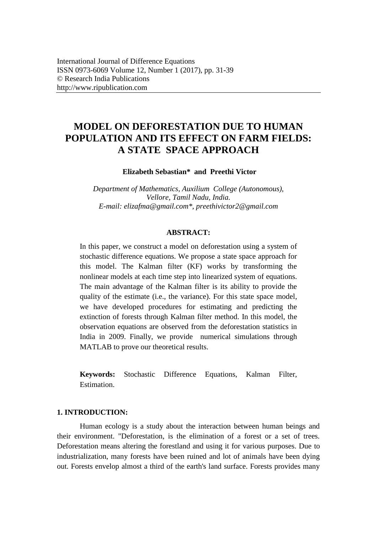# **MODEL ON DEFORESTATION DUE TO HUMAN POPULATION AND ITS EFFECT ON FARM FIELDS: A STATE SPACE APPROACH**

**Elizabeth Sebastian\* and Preethi Victor** 

*Department of Mathematics, Auxilium College (Autonomous), Vellore, Tamil Nadu, India. E-mail: [elizafma@gmail.com\\*](mailto:elizafma@gmail.com), [preethivictor2@gmail.com](mailto:priyankavictor2@gmail.com)*

#### **ABSTRACT:**

In this paper, we construct a model on deforestation using a system of stochastic difference equations. We propose a state space approach for this model. The Kalman filter (KF) works by transforming the nonlinear models at each time step into linearized system of equations. The main advantage of the Kalman filter is its ability to provide the quality of the estimate (i.e., the variance). For this state space model, we have developed procedures for estimating and predicting the extinction of forests through Kalman filter method. In this model, the observation equations are observed from the deforestation statistics in India in 2009. Finally, we provide numerical simulations through MATLAB to prove our theoretical results.

**Keywords:** Stochastic Difference Equations, Kalman Filter, **Estimation** 

# **1. INTRODUCTION:**

Human ecology is a study about the interaction between human beings and their environment. "Deforestation, is the elimination of a forest or a set of trees. Deforestation means altering the forestland and using it for various purposes. Due to industrialization, many forests have been ruined and lot of animals have been dying out. Forests envelop almost a third of the earth's land surface. Forests provides many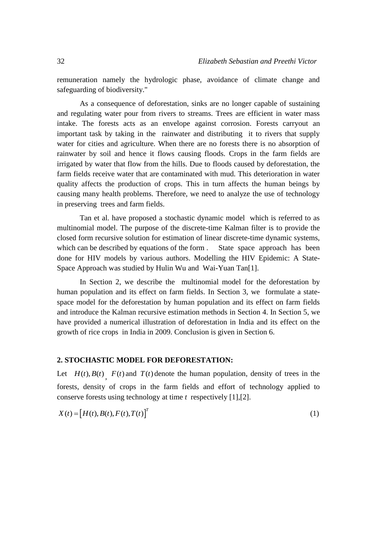remuneration namely the hydrologic phase, avoidance of climate change and safeguarding of biodiversity."

As a consequence of deforestation, sinks are no longer capable of sustaining and regulating water pour from rivers to streams. Trees are efficient in water mass intake. The forests acts as an envelope against corrosion. Forests carryout an important task by taking in the rainwater and distributing it to rivers that supply water for cities and agriculture. When there are no forests there is no absorption of rainwater by soil and hence it flows causing floods. Crops in the farm fields are irrigated by water that flow from the hills. Due to floods caused by deforestation, the farm fields receive water that are contaminated with mud. This deterioration in water quality affects the production of crops. This in turn affects the human beings by causing many health problems. Therefore, we need to analyze the use of technology in preserving trees and farm fields.

Tan et al. have proposed a stochastic dynamic model which is referred to as multinomial model. The purpose of the discrete-time Kalman filter is to provide the closed form recursive solution for estimation of linear discrete-time dynamic systems, which can be described by equations of the form . State space approach has been done for HIV models by various authors. Modelling the HIV Epidemic: A State-Space Approach was studied by Hulin Wu and Wai-Yuan Tan[1].

In Section 2, we describe the multinomial model for the deforestation by human population and its effect on farm fields. In Section 3, we formulate a statespace model for the deforestation by human population and its effect on farm fields and introduce the Kalman recursive estimation methods in Section 4. In Section 5, we have provided a numerical illustration of deforestation in India and its effect on the growth of rice crops in India in 2009. Conclusion is given in Section 6.

### **2. STOCHASTIC MODEL FOR DEFORESTATION:**

Let  $H(t)$ ,  $B(t)$ ,  $F(t)$  and  $T(t)$  denote the human population, density of trees in the forests, density of crops in the farm fields and effort of technology applied to conserve forests using technology at time *t* respectively [1],[2].

$$
X(t) = [H(t), B(t), F(t), T(t)]^T
$$
\n(1)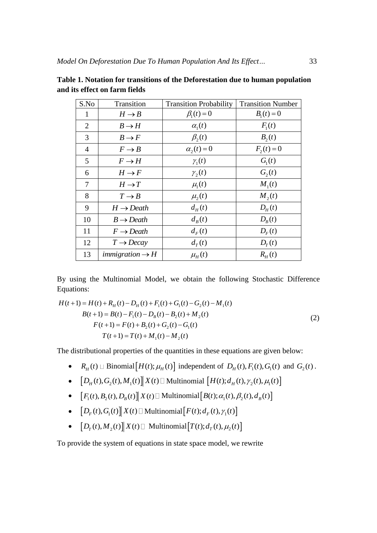| S.No           | Transition                         | <b>Transition Probability</b> | <b>Transition Number</b> |
|----------------|------------------------------------|-------------------------------|--------------------------|
| 1              | $H \rightarrow B$                  | $\beta_1(t)=0$                | $B_1(t) = 0$             |
| $\overline{2}$ | $B \rightarrow H$                  | $\alpha_{1}(t)$               | $F_1(t)$                 |
| 3              | $B \rightarrow F$                  | $\beta_2(t)$                  | $B_2(t)$                 |
| $\overline{4}$ | $F \rightarrow B$                  | $\alpha_2(t)=0$               | $F_2(t) = 0$             |
| 5              | $F \rightarrow H$                  | $\gamma_1(t)$                 | G <sub>1</sub> (t)       |
| 6              | $H \rightarrow F$                  | $\gamma_2(t)$                 | $G_{2}(t)$               |
| 7              | $H \rightarrow T$                  | $\mu_{\rm i}(t)$              | $M_1(t)$                 |
| 8              | $T \rightarrow B$                  | $\mu_2(t)$                    | $M_2(t)$                 |
| 9              | $H \rightarrow Death$              | $d_{H}(t)$                    | $D_{\mu}(t)$             |
| 10             | $B \rightarrow Death$              | $d_{R}(t)$                    | $D_{R}(t)$               |
| 11             | $F \rightarrow Death$              | $d_F(t)$                      | $D_F(t)$                 |
| 12             | $T \rightarrow Decay$              | $d_{\tau}(t)$                 | $D_{\tau}(t)$            |
| 13             | <i>immigration</i> $\rightarrow$ H | $\mu_H(t)$                    | $R_{H}(t)$               |

**Table 1. Notation for transitions of the Deforestation due to human population and its effect on farm fields**

By using the Multinomial Model, we obtain the following Stochastic Difference Equations: tions:<br>+1) =  $H(t) + R_H(t) - D_H(t) + F_1(t) + G_1(t) - G_2(t) - M_1(t)$ 

Equations:  
\n
$$
H(t+1) = H(t) + R_H(t) - D_H(t) + F_1(t) + G_1(t) - G_2(t) - M_1(t)
$$
\n
$$
B(t+1) = B(t) - F_1(t) - D_B(t) - B_2(t) + M_2(t)
$$
\n
$$
F(t+1) = F(t) + B_2(t) + G_2(t) - G_1(t)
$$
\n
$$
T(t+1) = T(t) + M_1(t) - M_2(t)
$$
\n(2)

The distributional properties of the quantities in these equations are given below:

- $R_H(t) \perp$  Binomial  $[H(t); \mu_H(t)]$  independent of  $D_H(t)$ ,  $F_1(t)$ ,  $G_1(t)$  and  $G_2(t)$ .
- $[D_H(t), G_2(t), M_1(t)] \times (t)$  | Multinomial  $[H(t); d_H(t), \gamma_2(t), \mu_1(t)]$
- $[F_1(t), B_2(t), D_B(t)] \propto X(t) \ln \text{Multinomial}[B(t); \alpha_1(t), \beta_2(t), d_B(t)]$
- $[D_F(t), G_1(t)] \mid X(t) \sqcup \text{Multinomial}\left[F(t); d_F(t), \gamma_1(t)\right]$
- $[D_T(t), M_2(t)] \, X(t) \, \Box$  Multinomial  $[T(t); d_T(t), \mu_2(t)]$

To provide the system of equations in state space model, we rewrite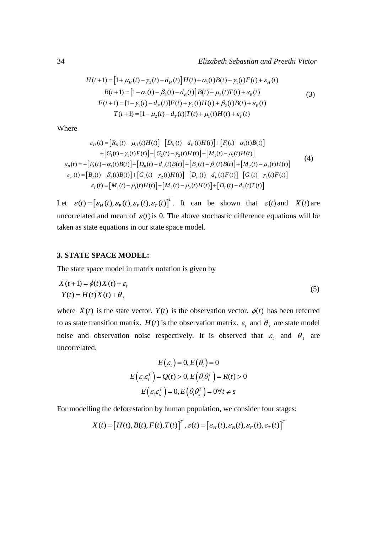34  
\n
$$
Elizableth Sebastian and Preethi Victor
$$
\n
$$
H(t+1) = [1 + \mu_{H}(t) - \gamma_{2}(t) - d_{H}(t)]H(t) + \alpha_{1}(t)B(t) + \gamma_{1}(t)F(t) + \varepsilon_{H}(t)
$$
\n
$$
B(t+1) = [1 - \alpha_{1}(t) - \beta_{2}(t) - d_{B}(t)]B(t) + \mu_{2}(t)T(t) + \varepsilon_{B}(t)
$$
\n
$$
F(t+1) = [1 - \gamma_{1}(t) - d_{F}(t)]F(t) + \gamma_{2}(t)H(t) + \beta_{2}(t)B(t) + \varepsilon_{F}(t)
$$
\n
$$
T(t+1) = [1 - \mu_{2}(t) - d_{T}(t)]T(t) + \mu_{1}(t)H(t) + \varepsilon_{T}(t)
$$
\n(3)

Where

$$
I(t+1) = [1 - \mu_2(t) - a_T(t)]I(t) + \mu_1(t)H(t) + \varepsilon_T(t)
$$
  
\nhere  
\n
$$
\varepsilon_H(t) = [R_H(t) - \mu_H(t)H(t)] - [D_H(t) - d_H(t)H(t)] + [F_1(t) - \alpha_1(t)B(t)] + [G_1(t) - \gamma_1(t)F(t)] - [G_2(t) - \gamma_2(t)H(t)] - [M_1(t) - \mu_1(t)H(t)]
$$
\n
$$
\varepsilon_B(t) = -[F_1(t) - \alpha_1(t)B(t)] - [D_B(t) - d_B(t)B(t)] - [B_2(t) - \beta_2(t)B(t)] + [M_2(t) - \mu_2(t)H(t)]
$$
\n
$$
\varepsilon_F(t) = [B_2(t) - \beta_2(t)B(t)] + [G_2(t) - \gamma_2(t)H(t)] - [D_F(t) - d_F(t)F(t)] - [G_1(t) - \gamma_1(t)F(t)]
$$
\n
$$
\varepsilon_T(t) = [M_1(t) - \mu_1(t)H(t)] - [M_2(t) - \mu_2(t)H(t)] + [D_T(t) - d_T(t)T(t)]
$$
\n(1)

Let  $\varepsilon(t) = [\varepsilon_H(t), \varepsilon_B(t), \varepsilon_F(t), \varepsilon_T(t)]^T$ *T*  $\mathcal{E}(t) = \left[\varepsilon_H(t), \varepsilon_B(t), \varepsilon_F(t), \varepsilon_T(t)\right]^T$ . It can be shown that  $\varepsilon(t)$  and  $X(t)$  are uncorrelated and mean of  $\varepsilon(t)$  is 0. The above stochastic difference equations will be taken as state equations in our state space model.

## **3. STATE SPACE MODEL:**

The state space model in matrix notation is given by

$$
X(t+1) = \phi(t)X(t) + \varepsilon_t
$$
  
\n
$$
Y(t) = H(t)X(t) + \theta_t
$$
\n(5)

where  $X(t)$  is the state vector.  $Y(t)$  is the observation vector.  $\phi(t)$  has been referred to as state transition matrix.  $H(t)$  is the observation matrix.  $\varepsilon$ <sub>t</sub> and  $\theta$ <sub>t</sub> are state model noise and observation noise respectively. It is observed that  $\varepsilon$  and  $\theta$  are uncorrelated.

$$
E(\varepsilon_t) = 0, E(\theta_t) = 0
$$
  

$$
E(\varepsilon_t \varepsilon_t^T) = Q(t) > 0, E(\theta_t \theta_t^T) = R(t) > 0
$$
  

$$
E(\varepsilon_t \varepsilon_s^T) = 0, E(\theta_t \theta_s^T) = 0 \forall t \neq s
$$

For modelling the deforestation by human population, we consider four stages:

$$
X(t) = [H(t), B(t), F(t), T(t)]^{T}, \varepsilon(t) = [\varepsilon_{H}(t), \varepsilon_{B}(t), \varepsilon_{F}(t), \varepsilon_{T}(t)]^{T}
$$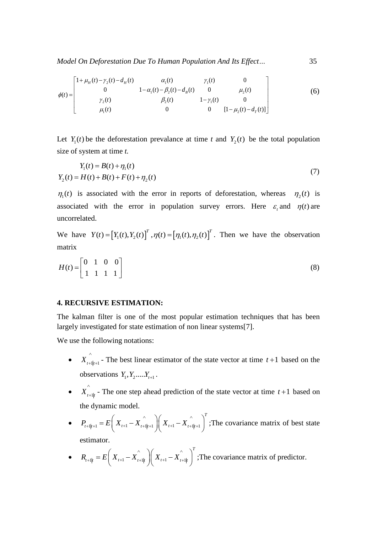Model On Deforestation Due To Human Population And Its Effect...

\n
$$
\phi(t) = \begin{bmatrix}\n1 + \mu_H(t) - \gamma_2(t) - d_H(t) & \alpha_1(t) & \gamma_1(t) & 0 \\
0 & 1 - \alpha_1(t) - \beta_2(t) - d_B(t) & 0 & \mu_2(t) \\
\gamma_2(t) & \beta_2(t) & 1 - \gamma_1(t) & 0 \\
\mu_1(t) & 0 & 0 & [1 - \mu_2(t) - d_T(t)]\n\end{bmatrix} \tag{6}
$$

Let  $Y_1(t)$  be the deforestation prevalance at time *t* and  $Y_2(t)$  be the total population size of system at time *t.*

$$
Y_1(t) = B(t) + \eta_1(t)
$$
  
\n
$$
Y_2(t) = H(t) + B(t) + F(t) + \eta_2(t)
$$
\n(7)

 $\eta_1(t)$  is associated with the error in reports of deforestation, whereas  $\eta_2(t)$  is associated with the error in population survey errors. Here  $\varepsilon_t$  and  $\eta(t)$  are uncorrelated.

We have  $Y(t) = [Y_1(t), Y_2(t)]^T$ ,  $\eta(t) = [\eta_1(t), \eta_2(t)]^T$ . Then we have the observation matrix

$$
H(t) = \begin{bmatrix} 0 & 1 & 0 & 0 \\ 1 & 1 & 1 & 1 \end{bmatrix} \tag{8}
$$

### **4. RECURSIVE ESTIMATION:**

The kalman filter is one of the most popular estimation techniques that has been largely investigated for state estimation of non linear systems[7].

We use the following notations:

- $\bullet$   $X_{t+1|t+1}$ <sup>^</sup>  $t_1|_{t+1}$  - The best linear estimator of the state vector at time  $t+1$  based on the observations  $Y_1, Y_2, ..., Y_{t+1}$ .
- $\bullet$   $X^{^{\wedge}}_{t+1|t}$  $_{t=1|t}$  - The one step ahead prediction of the state vector at time  $t+1$  based on the dynamic model.
- $\bullet \hspace{0.5cm} P_{_{t+1|t+1}} = E\left( \begin{array}{c} \ X_{_{t+1}} X_{_{t+1|t+1}} \end{array} \right) \left( \begin{array}{c} \ X_{_{t+1}} X_{_{t+1|t+1}} \end{array} \right)^T$  $P_{t+1|t+1} = E\left(X_{t+1} - X_{t+1|t+1} \right)\left(X_{t+1} - X_{t+1|t+1} \right)$ e dynamic model.<br>  $A_{t+1|t+1} = E\left(X_{t+1} - X_{t+1|t+1}\right)\left(X_{t+1} - X_{t+1|t+1}\right)^{T}$ ; The ;The covariance matrix of best state estimator.
- $R_{t+1|t} = E\left(X_{t+1} X_{t+1|t} \right) \left(X_{t+1} X_{t+1} \right)$  $R_{t+1|t} = E \left( X_{t+1} - X_{t+1|t}^{\wedge} \right) \left( X_{t+1} - X_{t+1|t}^{\wedge} \right)^{T}$ timator.<br>  $x_{t+1|t} = E\left(X_{t+1} - X_{t+1|t} \right) \left(X_{t+1} - X_{t+1|t} \right)^T;$  The ;The covariance matrix of predictor.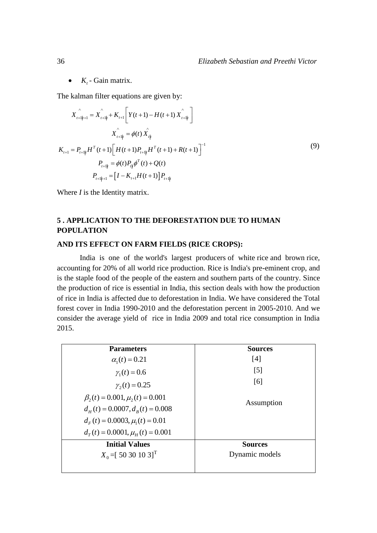•  $K_t$  - Gain matrix.

The kalman filter equations are given by:  
\n
$$
X_{t+1|t+1} \hat{X}_{t+1|t} + K_{t+1} \left[ Y(t+1) - H(t+1) \hat{X}_{t+1|t} \right]
$$
\n
$$
X_{t+1|t} \hat{X}_{t+1|t} = \phi(t) \hat{X}_{t|t}
$$
\n
$$
K_{t+1} = P_{t+1|t} H^{T}(t+1) \left[ H(t+1) P_{t+1|t} H^{T}(t+1) + R(t+1) \right]^{-1}
$$
\n
$$
P_{t+1|t} = \phi(t) P_{t|t} \phi^{T}(t) + Q(t)
$$
\n
$$
P_{t+1|t+1} = \left[ I - K_{t+1} H(t+1) \right] P_{t+1|t}
$$
\n(9)

Where *I* is the Identity matrix.

# **5 . APPLICATION TO THE DEFORESTATION DUE TO HUMAN POPULATION**

#### **AND ITS EFFECT ON FARM FIELDS (RICE CROPS):**

India is one of the world's largest producers of white [rice](https://en.wikipedia.org/wiki/Rice) and brown [rice,](https://en.wikipedia.org/wiki/Rice) accounting for 20% of all world rice production. Rice is India's pre-eminent crop, and is the staple food of the people of the [eastern](https://en.wikipedia.org/wiki/East_India) and [southern](https://en.wikipedia.org/wiki/Southern_India) parts of the country. Since the production of rice is essential in India, this section deals with how the production of rice in India is affected due to deforestation in India. We have considered the Total forest cover in India 1990-2010 and the deforestation percent in 2005-2010. And we consider the average yield of rice in India 2009 and total rice consumption in India 2015.

| <b>Parameters</b>                      | <b>Sources</b>    |
|----------------------------------------|-------------------|
| $\alpha_{1}(t) = 0.21$                 | [4]               |
| $\gamma_1(t) = 0.6$                    | $\lceil 5 \rceil$ |
| $\gamma_2(t) = 0.25$                   | [6]               |
| $\beta_2(t) = 0.001, \mu_2(t) = 0.001$ |                   |
| $d_{H}(t) = 0.0007, d_{R}(t) = 0.008$  | Assumption        |
| $dF(t) = 0.0003, \mu1(t) = 0.01$       |                   |
| $d_r(t) = 0.0001, \muH(t) = 0.001$     |                   |
| <b>Initial Values</b>                  | <b>Sources</b>    |
| $X_0 = [50 30 10 3]^T$                 | Dynamic models    |
|                                        |                   |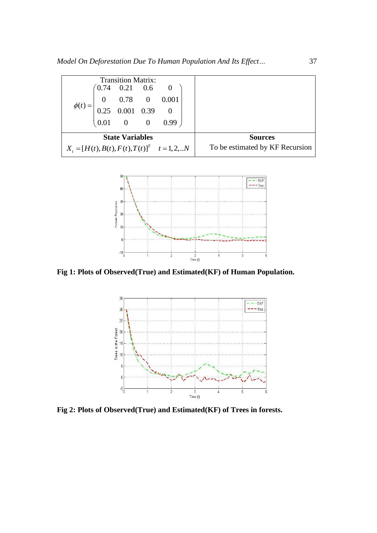|                                                  | <b>Transition Matrix:</b> |                                                                                                                                 |
|--------------------------------------------------|---------------------------|---------------------------------------------------------------------------------------------------------------------------------|
|                                                  |                           |                                                                                                                                 |
|                                                  |                           |                                                                                                                                 |
|                                                  |                           |                                                                                                                                 |
|                                                  |                           | $\begin{bmatrix} 0.74 & 0.21 & 0.6 & 0 \\ 0 & 0.78 & 0 & 0.001 \\ 0.25 & 0.001 & 0.39 & 0 \\ 0.01 & 0 & 0 & 0.99 \end{bmatrix}$ |
|                                                  | <b>State Variables</b>    |                                                                                                                                 |
| $X_t = [H(t), B(t), F(t), T(t)]^T$ $t = 1, 2, N$ |                           |                                                                                                                                 |



**Fig 1: Plots of Observed(True) and Estimated(KF) of Human Population.**



**Fig 2: Plots of Observed(True) and Estimated(KF) of Trees in forests.**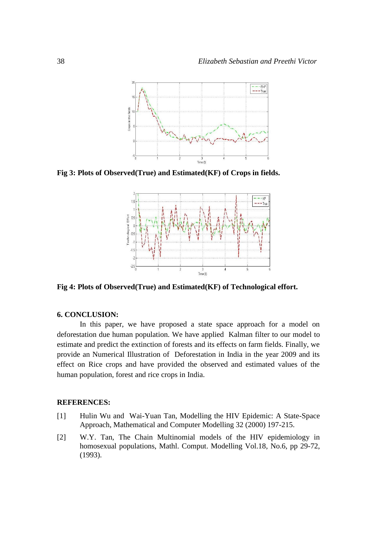

**Fig 3: Plots of Observed(True) and Estimated(KF) of Crops in fields.**



**Fig 4: Plots of Observed(True) and Estimated(KF) of Technological effort.**

#### **6. CONCLUSION:**

In this paper, we have proposed a state space approach for a model on deforestation due human population. We have applied Kalman filter to our model to estimate and predict the extinction of forests and its effects on farm fields. Finally, we provide an Numerical Illustration of Deforestation in India in the year 2009 and its effect on Rice crops and have provided the observed and estimated values of the human population, forest and rice crops in India.

### **REFERENCES:**

- [1] Hulin Wu and Wai-Yuan Tan, Modelling the HIV Epidemic: A State-Space Approach, Mathematical and Computer Modelling 32 (2000) 197-215.
- [2] W.Y. Tan, The Chain Multinomial models of the HIV epidemiology in homosexual populations, Mathl. Comput. Modelling Vol.18, No.6, pp 29-72, (1993).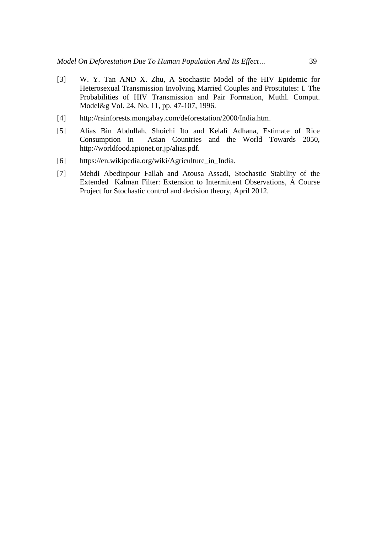- [3] W. Y. Tan AND X. Zhu, A Stochastic Model of the HIV Epidemic for Heterosexual Transmission Involving Married Couples and Prostitutes: I. The Probabilities of HIV Transmission and Pair Formation, Muthl. Comput. Model&g Vol. 24, No. 11, pp. 47-107, 1996.
- [4] http://rainforests.mongabay.com/deforestation/2000/India.htm.
- [5] Alias Bin Abdullah, Shoichi Ito and Kelali Adhana, Estimate of Rice Consumption in Asian Countries and the World Towards 2050, http://worldfood.apionet.or.jp/alias.pdf.
- [6] https://en.wikipedia.org/wiki/Agriculture\_in\_India.
- [7] Mehdi Abedinpour Fallah and Atousa Assadi, Stochastic Stability of the Extended Kalman Filter: Extension to Intermittent Observations, A Course Project for Stochastic control and decision theory, April 2012.